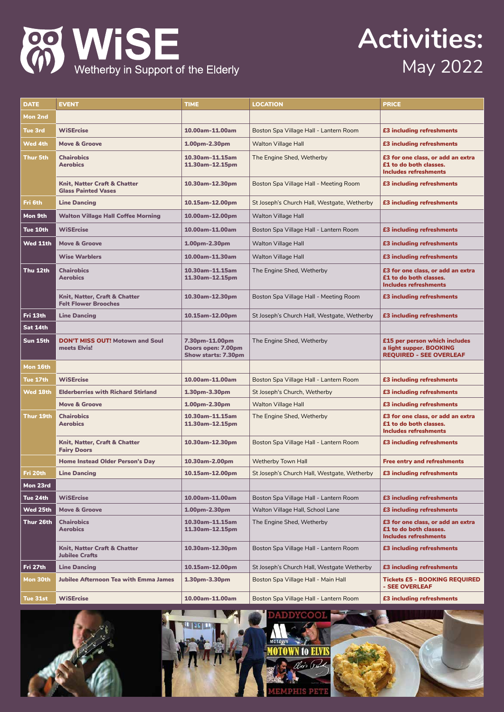

# **Activities:** May 2022

| <b>DATE</b>    | <b>EVENT</b>                                                          | <b>TIME</b>                                                        | <b>LOCATION</b>                             | <b>PRICE</b>                                                                                |
|----------------|-----------------------------------------------------------------------|--------------------------------------------------------------------|---------------------------------------------|---------------------------------------------------------------------------------------------|
| <b>Mon 2nd</b> |                                                                       |                                                                    |                                             |                                                                                             |
| <b>Tue 3rd</b> | <b>WiSErcise</b>                                                      | 10.00am-11.00am                                                    | Boston Spa Village Hall - Lantern Room      | £3 including refreshments                                                                   |
| Wed 4th        | <b>Move &amp; Groove</b>                                              | 1.00pm-2.30pm                                                      | <b>Walton Village Hall</b>                  | £3 including refreshments                                                                   |
| Thur 5th       | <b>Chairobics</b><br><b>Aerobics</b>                                  | 10.30am-11.15am<br>11.30am-12.15pm                                 | The Engine Shed, Wetherby                   | £3 for one class, or add an extra<br>£1 to do both classes.<br><b>Includes refreshments</b> |
|                | <b>Knit, Natter Craft &amp; Chatter</b><br><b>Glass Painted Vases</b> | 10.30am-12.30pm                                                    | Boston Spa Village Hall - Meeting Room      | £3 including refreshments                                                                   |
| Fri 6th        | <b>Line Dancing</b>                                                   | 10.15am-12.00pm                                                    | St Joseph's Church Hall, Westgate, Wetherby | £3 including refreshments                                                                   |
| Mon 9th        | <b>Walton Village Hall Coffee Morning</b>                             | 10.00am-12.00pm                                                    | <b>Walton Village Hall</b>                  |                                                                                             |
| Tue 10th       | <b>WiSErcise</b>                                                      | 10.00am-11.00am                                                    | Boston Spa Village Hall - Lantern Room      | £3 including refreshments                                                                   |
| Wed 11th       | <b>Move &amp; Groove</b>                                              | 1.00pm-2.30pm                                                      | <b>Walton Village Hall</b>                  | £3 including refreshments                                                                   |
|                | <b>Wise Warblers</b>                                                  | 10.00am-11.30am                                                    | <b>Walton Village Hall</b>                  | £3 including refreshments                                                                   |
| Thu 12th       | <b>Chairobics</b><br><b>Aerobics</b>                                  | 10.30am-11.15am<br>11.30am-12.15pm                                 | The Engine Shed, Wetherby                   | £3 for one class, or add an extra<br>£1 to do both classes.<br><b>Includes refreshments</b> |
|                | Knit, Natter, Craft & Chatter<br><b>Felt Flower Brooches</b>          | 10.30am-12.30pm                                                    | Boston Spa Village Hall - Meeting Room      | £3 including refreshments                                                                   |
| Fri 13th       | <b>Line Dancing</b>                                                   | 10.15am-12.00pm                                                    | St Joseph's Church Hall, Westgate, Wetherby | £3 including refreshments                                                                   |
| Sat 14th       |                                                                       |                                                                    |                                             |                                                                                             |
| Sun 15th       | <b>DON'T MISS OUT! Motown and Soul</b><br>meets Elvis!                | 7.30pm-11.00pm<br>Doors open: 7.00pm<br><b>Show starts: 7.30pm</b> | The Engine Shed, Wetherby                   | £15 per person which includes<br>a light supper. BOOKING<br><b>REQUIRED - SEE OVERLEAF</b>  |
| Mon 16th       |                                                                       |                                                                    |                                             |                                                                                             |
| Tue 17th       | <b>WiSErcise</b>                                                      | 10.00am-11.00am                                                    | Boston Spa Village Hall - Lantern Room      | £3 including refreshments                                                                   |
| Wed 18th       | <b>Elderberries with Richard Stirland</b>                             | 1.30pm-3.30pm                                                      | St Joseph's Church, Wetherby                | £3 including refreshments                                                                   |
|                | <b>Move &amp; Groove</b>                                              | 1.00pm-2.30pm                                                      | <b>Walton Village Hall</b>                  | £3 including refreshments                                                                   |
| Thur 19th      | <b>Chairobics</b><br><b>Aerobics</b>                                  | 10.30am-11.15am<br>11.30am-12.15pm                                 | The Engine Shed, Wetherby                   | £3 for one class, or add an extra<br>£1 to do both classes.<br><b>Includes refreshments</b> |
|                | Knit, Natter, Craft & Chatter<br><b>Fairy Doors</b>                   | 10.30am-12.30pm                                                    | Boston Spa Village Hall - Lantern Room      | £3 including refreshments                                                                   |
|                | <b>Home Instead Older Person's Day</b>                                | 10.30am-2.00pm                                                     | Wetherby Town Hall                          | <b>Free entry and refreshments</b>                                                          |
| Fri 20th       | <b>Line Dancing</b>                                                   | 10.15am-12.00pm                                                    | St Joseph's Church Hall, Westgate, Wetherby | £3 including refreshments                                                                   |
| Mon 23rd       |                                                                       |                                                                    |                                             |                                                                                             |
| Tue 24th       | <b>WiSErcise</b>                                                      | 10.00am-11.00am                                                    | Boston Spa Village Hall - Lantern Room      | £3 including refreshments                                                                   |
| Wed 25th       | <b>Move &amp; Groove</b>                                              | 1.00pm-2.30pm                                                      | Walton Village Hall, School Lane            | £3 including refreshments                                                                   |
| Thur 26th      | <b>Chairobics</b><br><b>Aerobics</b>                                  | 10.30am-11.15am<br>11.30am-12.15pm                                 | The Engine Shed, Wetherby                   | £3 for one class, or add an extra<br>£1 to do both classes.<br><b>Includes refreshments</b> |
|                | Knit, Natter Craft & Chatter<br><b>Jubilee Crafts</b>                 | 10.30am-12.30pm                                                    | Boston Spa Village Hall - Lantern Room      | £3 including refreshments                                                                   |
| Fri 27th       | <b>Line Dancing</b>                                                   | 10.15am-12.00pm                                                    | St Joseph's Church Hall, Westgate Wetherby  | £3 including refreshments                                                                   |
| Mon 30th       | <b>Jubilee Afternoon Tea with Emma James</b>                          | 1.30pm-3.30pm                                                      | Boston Spa Village Hall - Main Hall         | <b>Tickets £5 - BOOKING REQUIRED</b><br>- SEE OVERLEAF                                      |
| Tue 31st       | <b>WiSErcise</b>                                                      | 10.00am-11.00am                                                    | Boston Spa Village Hall - Lantern Room      | £3 including refreshments                                                                   |